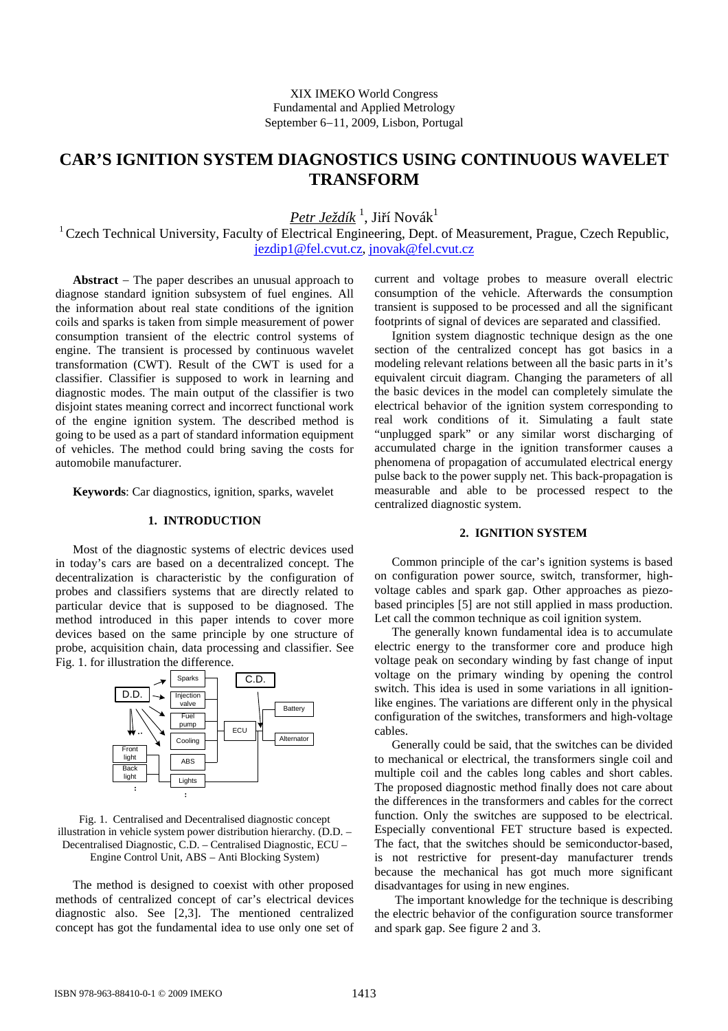# **CAR'S IGNITION SYSTEM DIAGNOSTICS USING CONTINUOUS WAVELET TRANSFORM**

 $Petr$  Ježdík <sup>1</sup>, Jiří Novák<sup>1</sup>

 $1$  Czech Technical University, Faculty of Electrical Engineering, Dept. of Measurement, Prague, Czech Republic, jezdip1@fel.cvut.cz, jnovak@fel.cvut.cz

**Abstract** − The paper describes an unusual approach to diagnose standard ignition subsystem of fuel engines. All the information about real state conditions of the ignition coils and sparks is taken from simple measurement of power consumption transient of the electric control systems of engine. The transient is processed by continuous wavelet transformation (CWT). Result of the CWT is used for a classifier. Classifier is supposed to work in learning and diagnostic modes. The main output of the classifier is two disjoint states meaning correct and incorrect functional work of the engine ignition system. The described method is going to be used as a part of standard information equipment of vehicles. The method could bring saving the costs for automobile manufacturer.

**Keywords**: Car diagnostics, ignition, sparks, wavelet

## **1. INTRODUCTION**

Most of the diagnostic systems of electric devices used in today's cars are based on a decentralized concept. The decentralization is characteristic by the configuration of probes and classifiers systems that are directly related to particular device that is supposed to be diagnosed. The method introduced in this paper intends to cover more devices based on the same principle by one structure of probe, acquisition chain, data processing and classifier. See Fig. 1. for illustration the difference.



#### Fig. 1. Centralised and Decentralised diagnostic concept illustration in vehicle system power distribution hierarchy. (D.D. – Decentralised Diagnostic, C.D. – Centralised Diagnostic, ECU – Engine Control Unit, ABS – Anti Blocking System)

The method is designed to coexist with other proposed methods of centralized concept of car's electrical devices diagnostic also. See [2,3]. The mentioned centralized concept has got the fundamental idea to use only one set of current and voltage probes to measure overall electric consumption of the vehicle. Afterwards the consumption transient is supposed to be processed and all the significant footprints of signal of devices are separated and classified.

Ignition system diagnostic technique design as the one section of the centralized concept has got basics in a modeling relevant relations between all the basic parts in it's equivalent circuit diagram. Changing the parameters of all the basic devices in the model can completely simulate the electrical behavior of the ignition system corresponding to real work conditions of it. Simulating a fault state "unplugged spark" or any similar worst discharging of accumulated charge in the ignition transformer causes a phenomena of propagation of accumulated electrical energy pulse back to the power supply net. This back-propagation is measurable and able to be processed respect to the centralized diagnostic system.

## **2. IGNITION SYSTEM**

Common principle of the car's ignition systems is based on configuration power source, switch, transformer, highvoltage cables and spark gap. Other approaches as piezobased principles [5] are not still applied in mass production. Let call the common technique as coil ignition system.

The generally known fundamental idea is to accumulate electric energy to the transformer core and produce high voltage peak on secondary winding by fast change of input voltage on the primary winding by opening the control switch. This idea is used in some variations in all ignitionlike engines. The variations are different only in the physical configuration of the switches, transformers and high-voltage cables.

Generally could be said, that the switches can be divided to mechanical or electrical, the transformers single coil and multiple coil and the cables long cables and short cables. The proposed diagnostic method finally does not care about the differences in the transformers and cables for the correct function. Only the switches are supposed to be electrical. Especially conventional FET structure based is expected. The fact, that the switches should be semiconductor-based, is not restrictive for present-day manufacturer trends because the mechanical has got much more significant disadvantages for using in new engines.

 The important knowledge for the technique is describing the electric behavior of the configuration source transformer and spark gap. See figure 2 and 3.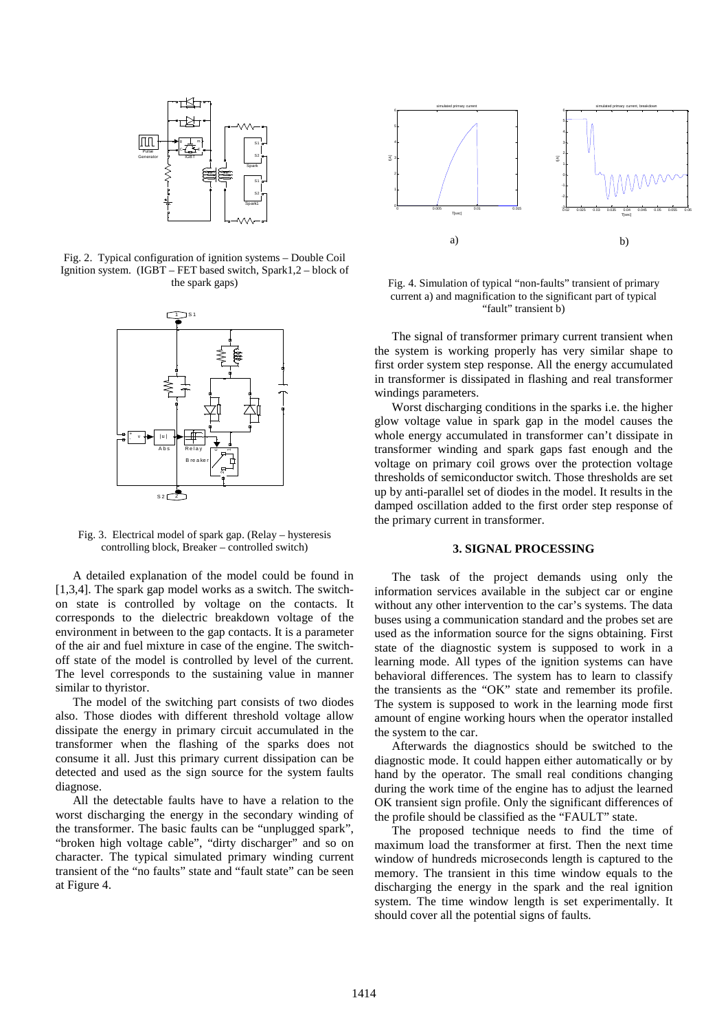

Fig. 2. Typical configuration of ignition systems – Double Coil Ignition system. (IGBT – FET based switch, Spark1,2 – block of the spark gaps)



Fig. 3. Electrical model of spark gap. (Relay – hysteresis controlling block, Breaker – controlled switch)

A detailed explanation of the model could be found in [1,3,4]. The spark gap model works as a switch. The switchon state is controlled by voltage on the contacts. It corresponds to the dielectric breakdown voltage of the environment in between to the gap contacts. It is a parameter of the air and fuel mixture in case of the engine. The switchoff state of the model is controlled by level of the current. The level corresponds to the sustaining value in manner similar to thyristor.

The model of the switching part consists of two diodes also. Those diodes with different threshold voltage allow dissipate the energy in primary circuit accumulated in the transformer when the flashing of the sparks does not consume it all. Just this primary current dissipation can be detected and used as the sign source for the system faults diagnose.

All the detectable faults have to have a relation to the worst discharging the energy in the secondary winding of the transformer. The basic faults can be "unplugged spark", "broken high voltage cable", "dirty discharger" and so on character. The typical simulated primary winding current transient of the "no faults" state and "fault state" can be seen at Figure 4.



Fig. 4. Simulation of typical "non-faults" transient of primary current a) and magnification to the significant part of typical "fault" transient b)

The signal of transformer primary current transient when the system is working properly has very similar shape to first order system step response. All the energy accumulated in transformer is dissipated in flashing and real transformer windings parameters.

Worst discharging conditions in the sparks i.e. the higher glow voltage value in spark gap in the model causes the whole energy accumulated in transformer can't dissipate in transformer winding and spark gaps fast enough and the voltage on primary coil grows over the protection voltage thresholds of semiconductor switch. Those thresholds are set up by anti-parallel set of diodes in the model. It results in the damped oscillation added to the first order step response of the primary current in transformer.

#### **3. SIGNAL PROCESSING**

The task of the project demands using only the information services available in the subject car or engine without any other intervention to the car's systems. The data buses using a communication standard and the probes set are used as the information source for the signs obtaining. First state of the diagnostic system is supposed to work in a learning mode. All types of the ignition systems can have behavioral differences. The system has to learn to classify the transients as the "OK" state and remember its profile. The system is supposed to work in the learning mode first amount of engine working hours when the operator installed the system to the car.

Afterwards the diagnostics should be switched to the diagnostic mode. It could happen either automatically or by hand by the operator. The small real conditions changing during the work time of the engine has to adjust the learned OK transient sign profile. Only the significant differences of the profile should be classified as the "FAULT" state.

The proposed technique needs to find the time of maximum load the transformer at first. Then the next time window of hundreds microseconds length is captured to the memory. The transient in this time window equals to the discharging the energy in the spark and the real ignition system. The time window length is set experimentally. It should cover all the potential signs of faults.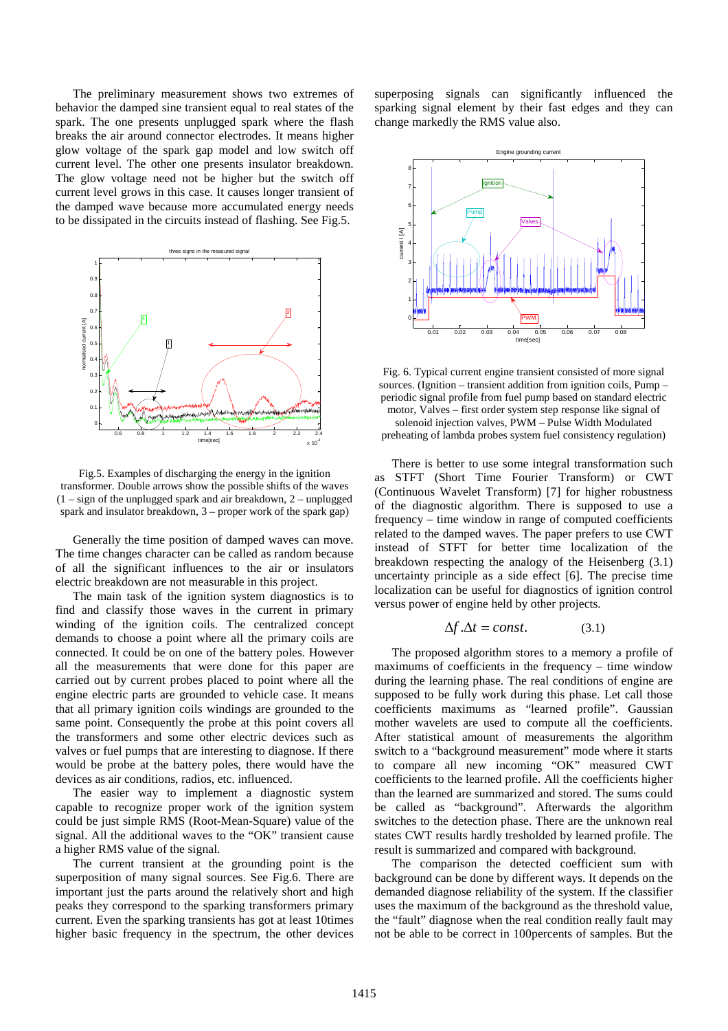The preliminary measurement shows two extremes of behavior the damped sine transient equal to real states of the spark. The one presents unplugged spark where the flash breaks the air around connector electrodes. It means higher glow voltage of the spark gap model and low switch off current level. The other one presents insulator breakdown. The glow voltage need not be higher but the switch off current level grows in this case. It causes longer transient of the damped wave because more accumulated energy needs to be dissipated in the circuits instead of flashing. See Fig.5.



Fig.5. Examples of discharging the energy in the ignition transformer. Double arrows show the possible shifts of the waves (1 – sign of the unplugged spark and air breakdown, 2 – unplugged spark and insulator breakdown, 3 – proper work of the spark gap)

Generally the time position of damped waves can move. The time changes character can be called as random because of all the significant influences to the air or insulators electric breakdown are not measurable in this project.

The main task of the ignition system diagnostics is to find and classify those waves in the current in primary winding of the ignition coils. The centralized concept demands to choose a point where all the primary coils are connected. It could be on one of the battery poles. However all the measurements that were done for this paper are carried out by current probes placed to point where all the engine electric parts are grounded to vehicle case. It means that all primary ignition coils windings are grounded to the same point. Consequently the probe at this point covers all the transformers and some other electric devices such as valves or fuel pumps that are interesting to diagnose. If there would be probe at the battery poles, there would have the devices as air conditions, radios, etc. influenced.

The easier way to implement a diagnostic system capable to recognize proper work of the ignition system could be just simple RMS (Root-Mean-Square) value of the signal. All the additional waves to the "OK" transient cause a higher RMS value of the signal.

The current transient at the grounding point is the superposition of many signal sources. See Fig.6. There are important just the parts around the relatively short and high peaks they correspond to the sparking transformers primary current. Even the sparking transients has got at least 10times higher basic frequency in the spectrum, the other devices superposing signals can significantly influenced the sparking signal element by their fast edges and they can change markedly the RMS value also.



Fig. 6. Typical current engine transient consisted of more signal sources. (Ignition – transient addition from ignition coils, Pump – periodic signal profile from fuel pump based on standard electric motor, Valves – first order system step response like signal of solenoid injection valves, PWM – Pulse Width Modulated preheating of lambda probes system fuel consistency regulation)

There is better to use some integral transformation such as STFT (Short Time Fourier Transform) or CWT (Continuous Wavelet Transform) [7] for higher robustness of the diagnostic algorithm. There is supposed to use a frequency – time window in range of computed coefficients related to the damped waves. The paper prefers to use CWT instead of STFT for better time localization of the breakdown respecting the analogy of the Heisenberg (3.1) uncertainty principle as a side effect [6]. The precise time localization can be useful for diagnostics of ignition control versus power of engine held by other projects.

$$
\Delta f \cdot \Delta t = const. \tag{3.1}
$$

The proposed algorithm stores to a memory a profile of maximums of coefficients in the frequency – time window during the learning phase. The real conditions of engine are supposed to be fully work during this phase. Let call those coefficients maximums as "learned profile". Gaussian mother wavelets are used to compute all the coefficients. After statistical amount of measurements the algorithm switch to a "background measurement" mode where it starts to compare all new incoming "OK" measured CWT coefficients to the learned profile. All the coefficients higher than the learned are summarized and stored. The sums could be called as "background". Afterwards the algorithm switches to the detection phase. There are the unknown real states CWT results hardly tresholded by learned profile. The result is summarized and compared with background.

The comparison the detected coefficient sum with background can be done by different ways. It depends on the demanded diagnose reliability of the system. If the classifier uses the maximum of the background as the threshold value, the "fault" diagnose when the real condition really fault may not be able to be correct in 100percents of samples. But the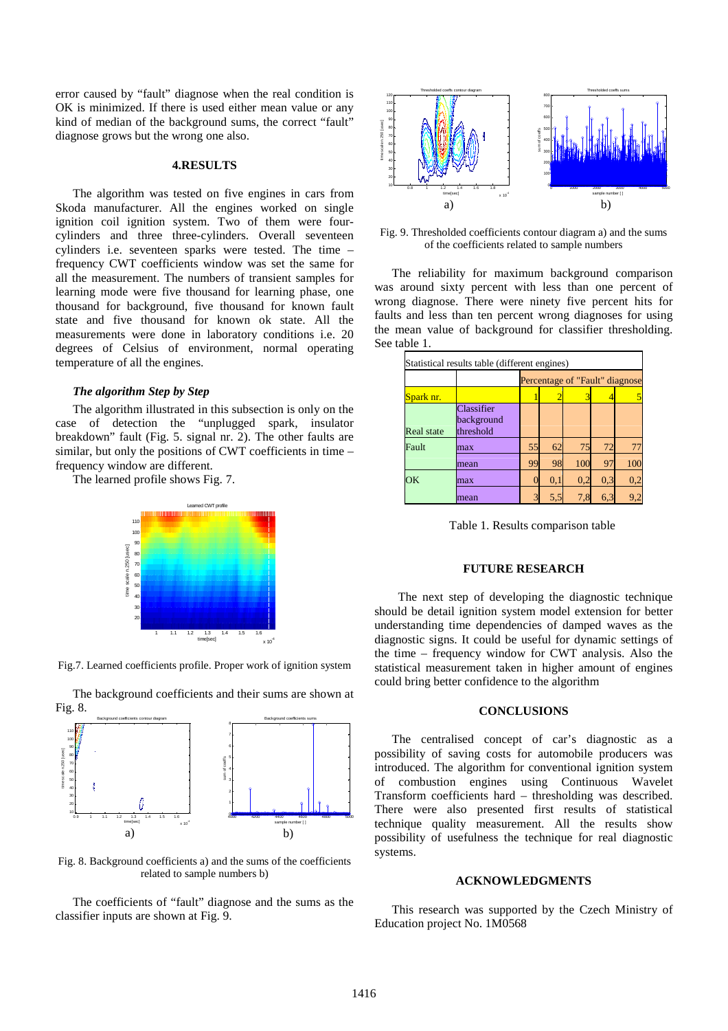error caused by "fault" diagnose when the real condition is OK is minimized. If there is used either mean value or any kind of median of the background sums, the correct "fault" diagnose grows but the wrong one also.

#### **4.RESULTS**

The algorithm was tested on five engines in cars from Skoda manufacturer. All the engines worked on single ignition coil ignition system. Two of them were fourcylinders and three three-cylinders. Overall seventeen cylinders i.e. seventeen sparks were tested. The time – frequency CWT coefficients window was set the same for all the measurement. The numbers of transient samples for learning mode were five thousand for learning phase, one thousand for background, five thousand for known fault state and five thousand for known ok state. All the measurements were done in laboratory conditions i.e. 20 degrees of Celsius of environment, normal operating temperature of all the engines.

#### *The algorithm Step by Step*

The algorithm illustrated in this subsection is only on the case of detection the "unplugged spark, insulator breakdown" fault (Fig. 5. signal nr. 2). The other faults are similar, but only the positions of CWT coefficients in time – frequency window are different.

The learned profile shows Fig. 7.



Fig.7. Learned coefficients profile. Proper work of ignition system



The background coefficients and their sums are shown at Fig. 8.

Fig. 8. Background coefficients a) and the sums of the coefficients related to sample numbers b)

The coefficients of "fault" diagnose and the sums as the classifier inputs are shown at Fig. 9.



Fig. 9. Thresholded coefficients contour diagram a) and the sums of the coefficients related to sample numbers

The reliability for maximum background comparison was around sixty percent with less than one percent of wrong diagnose. There were ninety five percent hits for faults and less than ten percent wrong diagnoses for using the mean value of background for classifier thresholding. See table 1.

| Statistical results table (different engines) |                                       |                                |     |     |     |     |
|-----------------------------------------------|---------------------------------------|--------------------------------|-----|-----|-----|-----|
|                                               |                                       | Percentage of "Fault" diagnose |     |     |     |     |
| Spark nr.                                     |                                       |                                |     | 3   |     | 5   |
| Real state                                    | Classifier<br>background<br>threshold |                                |     |     |     |     |
| Fault                                         | max                                   | 55                             | 62  | 75  | 72  | 77  |
|                                               | mean                                  | 99                             | 98  | 100 | 97  | 100 |
| <b>OK</b>                                     | max                                   |                                | 0,1 | 0,2 | 0.3 | 0,2 |
|                                               | mean                                  | $\mathcal{R}$                  | 5,5 | 7,8 | 6,3 | 9,2 |

Table 1. Results comparison table

## **FUTURE RESEARCH**

 The next step of developing the diagnostic technique should be detail ignition system model extension for better understanding time dependencies of damped waves as the diagnostic signs. It could be useful for dynamic settings of the time – frequency window for CWT analysis. Also the statistical measurement taken in higher amount of engines could bring better confidence to the algorithm

#### **CONCLUSIONS**

The centralised concept of car's diagnostic as a possibility of saving costs for automobile producers was introduced. The algorithm for conventional ignition system of combustion engines using Continuous Wavelet Transform coefficients hard – thresholding was described. There were also presented first results of statistical technique quality measurement. All the results show possibility of usefulness the technique for real diagnostic systems.

### **ACKNOWLEDGMENTS**

This research was supported by the Czech Ministry of Education project No. 1M0568